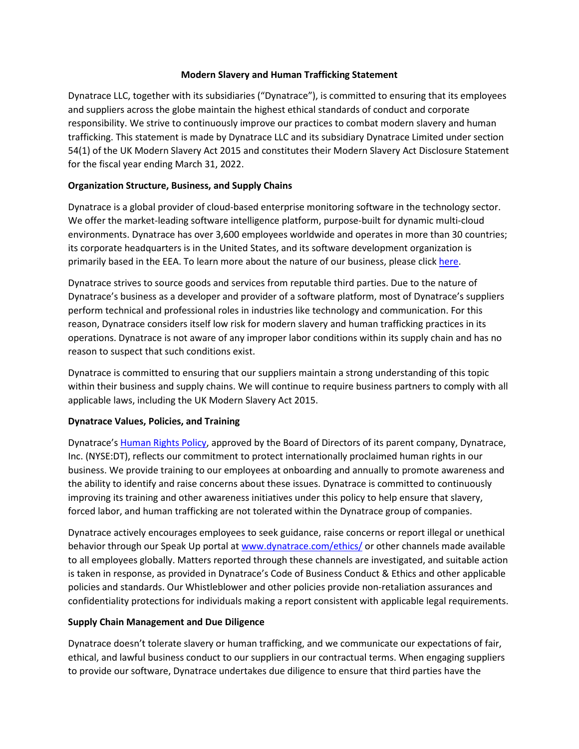#### **Modern Slavery and Human Trafficking Statement**

Dynatrace LLC, together with its subsidiaries ("Dynatrace"), is committed to ensuring that its employees and suppliers across the globe maintain the highest ethical standards of conduct and corporate responsibility. We strive to continuously improve our practices to combat modern slavery and human trafficking. This statement is made by Dynatrace LLC and its subsidiary Dynatrace Limited under section 54(1) of the UK Modern Slavery Act 2015 and constitutes their Modern Slavery Act Disclosure Statement for the fiscal year ending March 31, 2022.

### **Organization Structure, Business, and Supply Chains**

Dynatrace is a global provider of cloud-based enterprise monitoring software in the technology sector. We offer the market-leading software intelligence platform, purpose-built for dynamic multi-cloud environments. Dynatrace has over 3,600 employees worldwide and operates in more than 30 countries; its corporate headquarters is in the United States, and its software development organization is primarily based in the EEA. To learn more about the nature of our business, please click [here.](https://www.dynatrace.com/company/)

Dynatrace strives to source goods and services from reputable third parties. Due to the nature of Dynatrace's business as a developer and provider of a software platform, most of Dynatrace's suppliers perform technical and professional roles in industries like technology and communication. For this reason, Dynatrace considers itself low risk for modern slavery and human trafficking practices in its operations. Dynatrace is not aware of any improper labor conditions within its supply chain and has no reason to suspect that such conditions exist.

Dynatrace is committed to ensuring that our suppliers maintain a strong understanding of this topic within their business and supply chains. We will continue to require business partners to comply with all applicable laws, including the UK Modern Slavery Act 2015.

# **Dynatrace Values, Policies, and Training**

Dynatrace's [Human Rights Policy,](https://d1io3yog0oux5.cloudfront.net/_f953dc8a9a6e9d1fb2f57ad30da5512f/dynatrace/db/868/7646/file/Human-Rights-Policy_.pdf) approved by the Board of Directors of its parent company, Dynatrace, Inc. (NYSE:DT), reflects our commitment to protect internationally proclaimed human rights in our business. We provide training to our employees at onboarding and annually to promote awareness and the ability to identify and raise concerns about these issues. Dynatrace is committed to continuously improving its training and other awareness initiatives under this policy to help ensure that slavery, forced labor, and human trafficking are not tolerated within the Dynatrace group of companies.

Dynatrace actively encourages employees to seek guidance, raise concerns or report illegal or unethical behavior through our Speak Up portal a[t www.dynatrace.com/ethics/](http://www.dynatrace.com/ethics/) or other channels made available to all employees globally. Matters reported through these channels are investigated, and suitable action is taken in response, as provided in Dynatrace's Code of Business Conduct & Ethics and other applicable policies and standards. Our Whistleblower and other policies provide non-retaliation assurances and confidentiality protections for individuals making a report consistent with applicable legal requirements.

# **Supply Chain Management and Due Diligence**

Dynatrace doesn't tolerate slavery or human trafficking, and we communicate our expectations of fair, ethical, and lawful business conduct to our suppliers in our contractual terms. When engaging suppliers to provide our software, Dynatrace undertakes due diligence to ensure that third parties have the